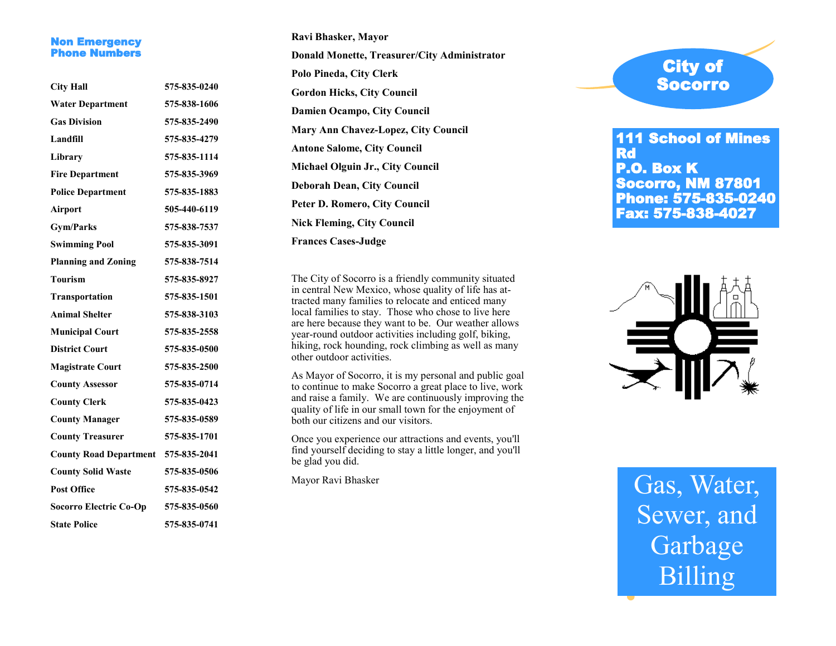#### Non Emergency **Phone Numbers**

| <b>City Hall</b>              | 575-835-0240 |
|-------------------------------|--------------|
| <b>Water Department</b>       | 575-838-1606 |
| <b>Gas Division</b>           | 575-835-2490 |
| Landfill                      | 575-835-4279 |
| Library                       | 575-835-1114 |
| <b>Fire Department</b>        | 575-835-3969 |
| <b>Police Department</b>      | 575-835-1883 |
| Airport                       | 505-440-6119 |
| <b>Gym/Parks</b>              | 575-838-7537 |
| <b>Swimming Pool</b>          | 575-835-3091 |
| <b>Planning and Zoning</b>    | 575-838-7514 |
| <b>Tourism</b>                | 575-835-8927 |
| <b>Transportation</b>         | 575-835-1501 |
| <b>Animal Shelter</b>         | 575-838-3103 |
| <b>Municipal Court</b>        | 575-835-2558 |
| <b>District Court</b>         | 575-835-0500 |
| <b>Magistrate Court</b>       | 575-835-2500 |
| <b>County Assessor</b>        | 575-835-0714 |
| <b>County Clerk</b>           | 575-835-0423 |
| <b>County Manager</b>         | 575-835-0589 |
| <b>County Treasurer</b>       | 575-835-1701 |
| <b>County Road Department</b> | 575-835-2041 |
| <b>County Solid Waste</b>     | 575-835-0506 |
| <b>Post Office</b>            | 575-835-0542 |
| <b>Socorro Electric Co-Op</b> | 575-835-0560 |
| <b>State Police</b>           | 575-835-0741 |

**Ravi Bhasker, Mayor Donald Monette, Treasurer/City Administrator Polo Pineda, City Clerk Gordon Hicks, City Council Damien Ocampo, City Council Mary Ann Chavez -Lopez, City Council Antone Salome, City Council Michael Olguin Jr., City Council Deborah Dean, City Council Peter D. Romero, City Council Nick Fleming, City Council Frances Cases -Judge**

The City of Socorro is a friendly community situated in central New Mexico, whose quality of life has attracted many families to relocate and enticed many local families to stay. Those who chose to live here are here because they want to be. Our weather allows year -round outdoor activities including golf, biking, hiking, rock hounding, rock climbing as well as many other outdoor activities.

As Mayor of Socorro, it is my personal and public goal to continue to make Socorro a great place to live, work and raise a family. We are continuously improving the quality of life in our small town for the enjoyment of both our citizens and our visitors.

Once you experience our attractions and events, you'll find yourself deciding to stay a little longer, and you'll be glad you did.

Mayor Ravi Bhasker

# City of Socorro

111 School of Mines Rd P.O. Box K Socorro, NM 87801 Phone: 575 -835 -0240 Fax: 575 -838 -4027



# Gas, Water, Sewer, and Garbage Billing